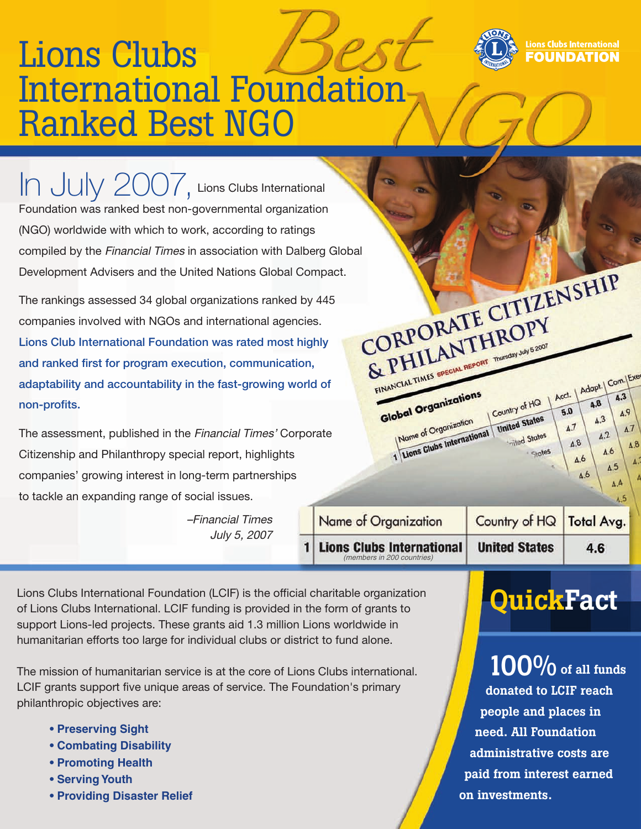

## Lions Clubs International Foundation Ranked Best NGO

In July 2007, Lions Clubs International Foundation was ranked best non-governmental organization (NGO) worldwide with which to work, according to ratings compiled by the Financial Times in association with Dalberg Global CORPORATE CITIZENSHIP Development Advisers and the United Nations Global Compact.

The rankings assessed 34 global organizations ranked by 445 companies involved with NGOs and international agencies. Lions Club International Foundation was rated most highly and ranked first for program execution, communication, adaptability and accountability in the fast-growing world of non-profits.

The assessment, published in the Financial Times' Corporate Citizenship and Philanthropy special report, highlights companies' growing interest in long-term partnerships to tackle an expanding range of social issues.

> –Financial Times July 5, 2007

| Name of Organization                                           |  |
|----------------------------------------------------------------|--|
| <b>Lions Clubs International</b><br>(members in 200 countries) |  |

**CORPORATE CITY** EL PHILANTHROM MARGARY JUN 6 2007

Global Organizations

Name of Organization

Nome of Organization

 $A.5$ Country of HQ Total Avg. **United States** 4.6

Country of HQ

United States

inited States

states

Acct. | Adapt. | Com. | Exer

**4.8** 

 $A.3$ 

 $\mathbf{A}.\mathbf{2}$ 

 $A.6$ 

 $A.5$ 

 $A.A$ 

 $A.9$ 

 $\Delta$ .7

 $A.8$ 

 $5.0$ 

 $\Delta$ .7

 $\Delta$ .8

A.6

4.6

Lions Clubs International Foundation (LCIF) is the official charitable organization of Lions Clubs International. LCIF funding is provided in the form of grants to support Lions-led projects. These grants aid 1.3 million Lions worldwide in humanitarian efforts too large for individual clubs or district to fund alone.

The mission of humanitarian service is at the core of Lions Clubs international. LCIF grants support five unique areas of service. The Foundation's primary philanthropic objectives are:

- **• Preserving Sight**
- **• Combating Disability**
- **• Promoting Health**
- **• ServingYouth**
- **• Providing Disaster Relief**

## **QuickFact**

**of all funds 100% donated to LCIF reach people and places in need. All Foundation administrative costs are paid from interest earned on investments.**